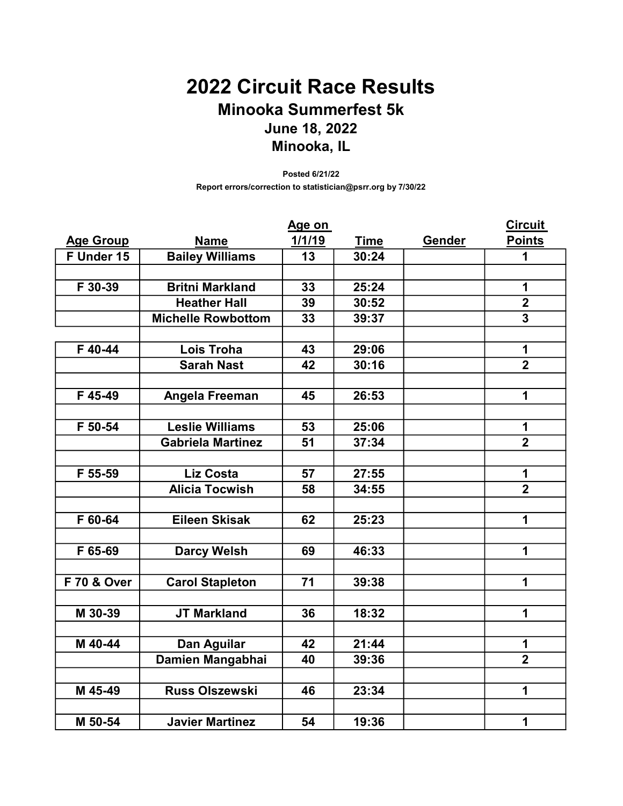## 2022 Circuit Race Results Minooka Summerfest 5k June 18, 2022 Minooka, IL

Posted 6/21/22 Report errors/correction to statistician@psrr.org by 7/30/22

|                        |                           | Age on |             |        | <b>Circuit</b>          |
|------------------------|---------------------------|--------|-------------|--------|-------------------------|
| <b>Age Group</b>       | <b>Name</b>               | 1/1/19 | <b>Time</b> | Gender | <b>Points</b>           |
| F Under 15             | <b>Bailey Williams</b>    | 13     | 30:24       |        | 1                       |
|                        |                           |        |             |        |                         |
| F 30-39                | <b>Britni Markland</b>    | 33     | 25:24       |        | 1                       |
|                        | <b>Heather Hall</b>       | 39     | 30:52       |        | $\overline{\mathbf{2}}$ |
|                        | <b>Michelle Rowbottom</b> | 33     | 39:37       |        | 3                       |
|                        |                           |        |             |        |                         |
| F 40-44                | <b>Lois Troha</b>         | 43     | 29:06       |        | 1                       |
|                        | <b>Sarah Nast</b>         | 42     | 30:16       |        | $\overline{\mathbf{2}}$ |
|                        |                           |        |             |        |                         |
| F 45-49                | Angela Freeman            | 45     | 26:53       |        | 1                       |
|                        |                           |        |             |        |                         |
| F 50-54                | <b>Leslie Williams</b>    | 53     | 25:06       |        | 1                       |
|                        | <b>Gabriela Martinez</b>  | 51     | 37:34       |        | $\overline{2}$          |
|                        |                           |        |             |        |                         |
| F 55-59                | <b>Liz Costa</b>          | 57     | 27:55       |        | 1                       |
|                        | <b>Alicia Tocwish</b>     | 58     | 34:55       |        | $\overline{2}$          |
|                        |                           |        |             |        |                         |
| F 60-64                | <b>Eileen Skisak</b>      | 62     | 25:23       |        | 1                       |
|                        |                           |        |             |        |                         |
| F 65-69                | <b>Darcy Welsh</b>        | 69     | 46:33       |        | 1                       |
|                        |                           |        |             |        |                         |
| <b>F 70 &amp; Over</b> | <b>Carol Stapleton</b>    | 71     | 39:38       |        | 1                       |
|                        |                           |        |             |        |                         |
| M 30-39                | <b>JT Markland</b>        | 36     | 18:32       |        | 1                       |
|                        |                           |        |             |        |                         |
| M 40-44                | Dan Aguilar               | 42     | 21:44       |        | 1                       |
|                        | Damien Mangabhai          | 40     | 39:36       |        | $\overline{\mathbf{2}}$ |
|                        |                           |        |             |        |                         |
| M 45-49                | <b>Russ Olszewski</b>     | 46     | 23:34       |        | 1                       |
|                        |                           |        |             |        |                         |
| M 50-54                | <b>Javier Martinez</b>    | 54     | 19:36       |        | 1                       |